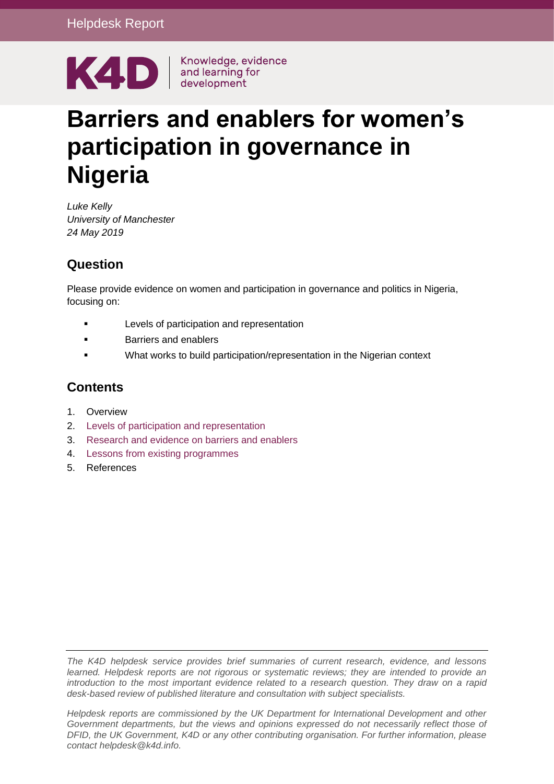

# **Barriers and enablers for women's participation in governance in Nigeria**

*Luke Kelly University of Manchester 24 May 2019*

# **Question**

Please provide evidence on women and participation in governance and politics in Nigeria, focusing on:

- Levels of participation and representation
- Barriers and enablers
- What works to build participation/representation in the Nigerian context

# **Contents**

- 1. [Overview](#page-0-0)
- 2. Levels of participation and representation
- 3. Research and evidence on barriers and enablers
- 4. Lessons from existing programmes
- <span id="page-0-0"></span>5. [References](#page-13-0)

*The K4D helpdesk service provides brief summaries of current research, evidence, and lessons learned. Helpdesk reports are not rigorous or systematic reviews; they are intended to provide an introduction to the most important evidence related to a research question. They draw on a rapid desk-based review of published literature and consultation with subject specialists.* 

*Helpdesk reports are commissioned by the UK Department for International Development and other Government departments, but the views and opinions expressed do not necessarily reflect those of DFID, the UK Government, K4D or any other contributing organisation. For further information, please contact helpdesk@k4d.info.*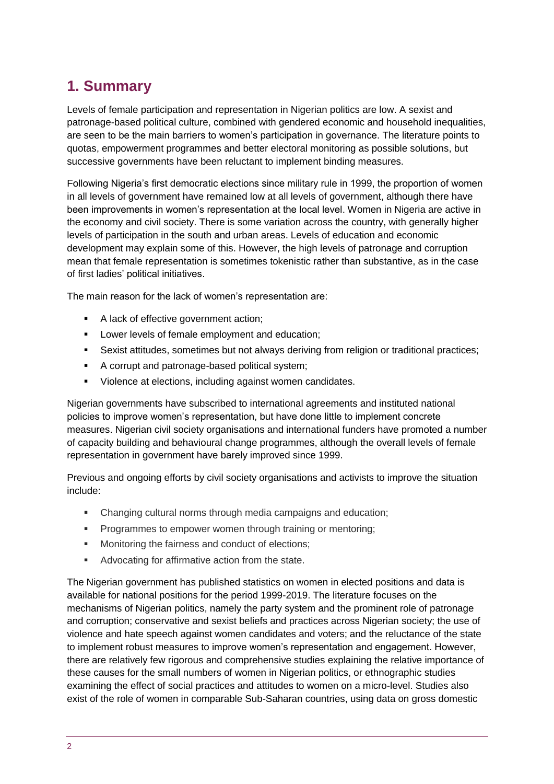# **1. Summary**

Levels of female participation and representation in Nigerian politics are low. A sexist and patronage-based political culture, combined with gendered economic and household inequalities, are seen to be the main barriers to women's participation in governance. The literature points to quotas, empowerment programmes and better electoral monitoring as possible solutions, but successive governments have been reluctant to implement binding measures.

Following Nigeria's first democratic elections since military rule in 1999, the proportion of women in all levels of government have remained low at all levels of government, although there have been improvements in women's representation at the local level. Women in Nigeria are active in the economy and civil society. There is some variation across the country, with generally higher levels of participation in the south and urban areas. Levels of education and economic development may explain some of this. However, the high levels of patronage and corruption mean that female representation is sometimes tokenistic rather than substantive, as in the case of first ladies' political initiatives.

The main reason for the lack of women's representation are:

- A lack of effective government action;
- **Lower levels of female employment and education;**
- Sexist attitudes, sometimes but not always deriving from religion or traditional practices;
- A corrupt and patronage-based political system;
- Violence at elections, including against women candidates.

Nigerian governments have subscribed to international agreements and instituted national policies to improve women's representation, but have done little to implement concrete measures. Nigerian civil society organisations and international funders have promoted a number of capacity building and behavioural change programmes, although the overall levels of female representation in government have barely improved since 1999.

Previous and ongoing efforts by civil society organisations and activists to improve the situation include:

- Changing cultural norms through media campaigns and education;
- **Programmes to empower women through training or mentoring;**
- **Monitoring the fairness and conduct of elections;**
- **Advocating for affirmative action from the state.**

The Nigerian government has published statistics on women in elected positions and data is available for national positions for the period 1999-2019. The literature focuses on the mechanisms of Nigerian politics, namely the party system and the prominent role of patronage and corruption; conservative and sexist beliefs and practices across Nigerian society; the use of violence and hate speech against women candidates and voters; and the reluctance of the state to implement robust measures to improve women's representation and engagement. However, there are relatively few rigorous and comprehensive studies explaining the relative importance of these causes for the small numbers of women in Nigerian politics, or ethnographic studies examining the effect of social practices and attitudes to women on a micro-level. Studies also exist of the role of women in comparable Sub-Saharan countries, using data on gross domestic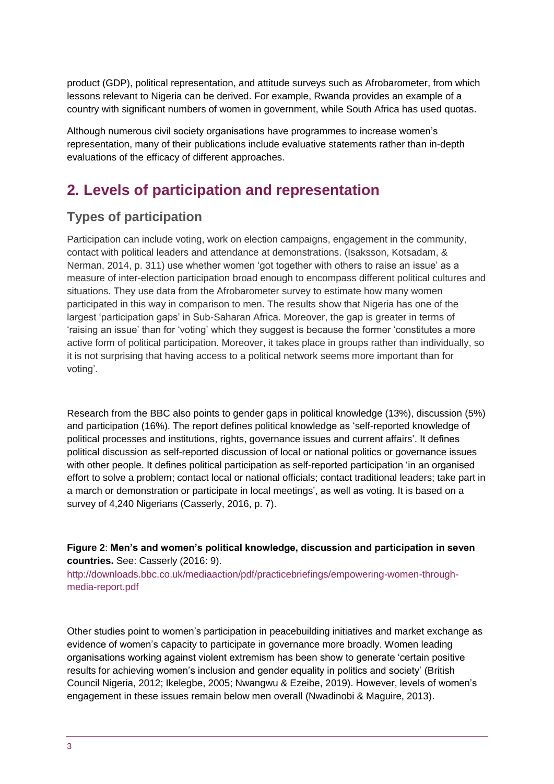product (GDP), political representation, and attitude surveys such as Afrobarometer, from which lessons relevant to Nigeria can be derived. For example, Rwanda provides an example of a country with significant numbers of women in government, while South Africa has used quotas.

Although numerous civil society organisations have programmes to increase women's representation, many of their publications include evaluative statements rather than in-depth evaluations of the efficacy of different approaches.

# **2. Levels of participation and representation**

# **Types of participation**

Participation can include voting, work on election campaigns, engagement in the community, contact with political leaders and attendance at demonstrations. (Isaksson, Kotsadam, & Nerman, 2014, p. 311) use whether women 'got together with others to raise an issue' as a measure of inter-election participation broad enough to encompass different political cultures and situations. They use data from the Afrobarometer survey to estimate how many women participated in this way in comparison to men. The results show that Nigeria has one of the largest 'participation gaps' in Sub-Saharan Africa. Moreover, the gap is greater in terms of 'raising an issue' than for 'voting' which they suggest is because the former 'constitutes a more active form of political participation. Moreover, it takes place in groups rather than individually, so it is not surprising that having access to a political network seems more important than for voting'.

Research from the BBC also points to gender gaps in political knowledge (13%), discussion (5%) and participation (16%). The report defines political knowledge as 'self-reported knowledge of political processes and institutions, rights, governance issues and current affairs'. It defines political discussion as self-reported discussion of local or national politics or governance issues with other people. It defines political participation as self-reported participation 'in an organised effort to solve a problem; contact local or national officials; contact traditional leaders; take part in a march or demonstration or participate in local meetings', as well as voting. It is based on a survey of 4,240 Nigerians (Casserly, 2016, p. 7).

#### **Figure 2**: **Men's and women's political knowledge, discussion and participation in seven countries.** See: Casserly (2016: 9).

[http://downloads.bbc.co.uk/mediaaction/pdf/practicebriefings/empowering-women-through](http://downloads.bbc.co.uk/mediaaction/pdf/practicebriefings/empowering-women-through-media-report.pdf)[media-report.pdf](http://downloads.bbc.co.uk/mediaaction/pdf/practicebriefings/empowering-women-through-media-report.pdf)

Other studies point to women's participation in peacebuilding initiatives and market exchange as evidence of women's capacity to participate in governance more broadly. Women leading organisations working against violent extremism has been show to generate 'certain positive results for achieving women's inclusion and gender equality in politics and society' (British Council Nigeria, 2012; Ikelegbe, 2005; Nwangwu & Ezeibe, 2019). However, levels of women's engagement in these issues remain below men overall (Nwadinobi & Maguire, 2013).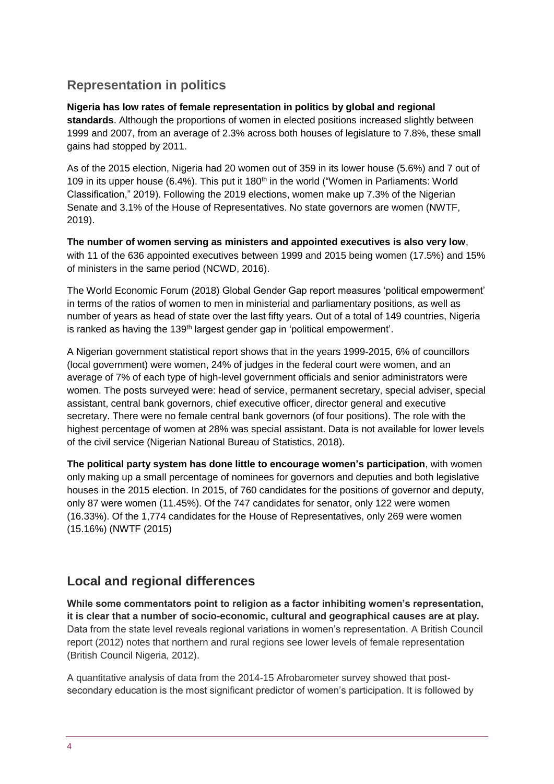# **Representation in politics**

#### **Nigeria has low rates of female representation in politics by global and regional**

**standards**. Although the proportions of women in elected positions increased slightly between 1999 and 2007, from an average of 2.3% across both houses of legislature to 7.8%, these small gains had stopped by 2011.

As of the 2015 election, Nigeria had 20 women out of 359 in its lower house (5.6%) and 7 out of 109 in its upper house (6.4%). This put it 180<sup>th</sup> in the world ("Women in Parliaments: World Classification," 2019). Following the 2019 elections, women make up 7.3% of the Nigerian Senate and 3.1% of the House of Representatives. No state governors are women (NWTF, 2019).

**The number of women serving as ministers and appointed executives is also very low**, with 11 of the 636 appointed executives between 1999 and 2015 being women (17.5%) and 15% of ministers in the same period (NCWD, 2016).

The World Economic Forum (2018) Global Gender Gap report measures 'political empowerment' in terms of the ratios of women to men in ministerial and parliamentary positions, as well as number of years as head of state over the last fifty years. Out of a total of 149 countries, Nigeria is ranked as having the 139<sup>th</sup> largest gender gap in 'political empowerment'.

A Nigerian government statistical report shows that in the years 1999-2015, 6% of councillors (local government) were women, 24% of judges in the federal court were women, and an average of 7% of each type of high-level government officials and senior administrators were women. The posts surveyed were: head of service, permanent secretary, special adviser, special assistant, central bank governors, chief executive officer, director general and executive secretary. There were no female central bank governors (of four positions). The role with the highest percentage of women at 28% was special assistant. Data is not available for lower levels of the civil service (Nigerian National Bureau of Statistics, 2018).

**The political party system has done little to encourage women's participation**, with women only making up a small percentage of nominees for governors and deputies and both legislative houses in the 2015 election. In 2015, of 760 candidates for the positions of governor and deputy, only 87 were women (11.45%). Of the 747 candidates for senator, only 122 were women (16.33%). Of the 1,774 candidates for the House of Representatives, only 269 were women (15.16%) (NWTF (2015)

### **Local and regional differences**

**While some commentators point to religion as a factor inhibiting women's representation, it is clear that a number of socio-economic, cultural and geographical causes are at play.** Data from the state level reveals regional variations in women's representation. A British Council report (2012) notes that northern and rural regions see lower levels of female representation (British Council Nigeria, 2012).

A quantitative analysis of data from the 2014-15 Afrobarometer survey showed that postsecondary education is the most significant predictor of women's participation. It is followed by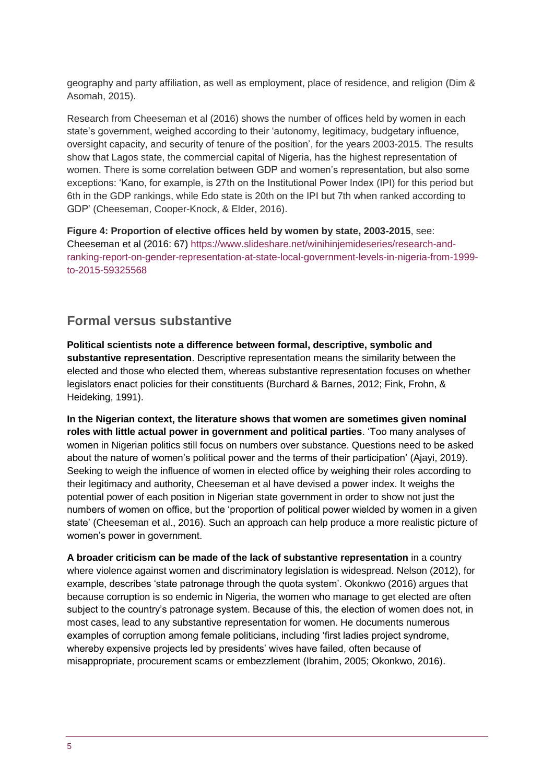geography and party affiliation, as well as employment, place of residence, and religion (Dim & Asomah, 2015).

Research from Cheeseman et al (2016) shows the number of offices held by women in each state's government, weighed according to their 'autonomy, legitimacy, budgetary influence, oversight capacity, and security of tenure of the position', for the years 2003-2015. The results show that Lagos state, the commercial capital of Nigeria, has the highest representation of women. There is some correlation between GDP and women's representation, but also some exceptions: 'Kano, for example, is 27th on the Institutional Power Index (IPI) for this period but 6th in the GDP rankings, while Edo state is 20th on the IPI but 7th when ranked according to GDP' (Cheeseman, Cooper-Knock, & Elder, 2016).

**Figure 4: Proportion of elective offices held by women by state, 2003-2015**, see: Cheeseman et al (2016: 67) [https://www.slideshare.net/winihinjemideseries/research-and](https://www.slideshare.net/winihinjemideseries/research-and-ranking-report-on-gender-representation-at-state-local-government-levels-in-nigeria-from-1999-to-2015-59325568)[ranking-report-on-gender-representation-at-state-local-government-levels-in-nigeria-from-1999](https://www.slideshare.net/winihinjemideseries/research-and-ranking-report-on-gender-representation-at-state-local-government-levels-in-nigeria-from-1999-to-2015-59325568) [to-2015-59325568](https://www.slideshare.net/winihinjemideseries/research-and-ranking-report-on-gender-representation-at-state-local-government-levels-in-nigeria-from-1999-to-2015-59325568)

### **Formal versus substantive**

**Political scientists note a difference between formal, descriptive, symbolic and substantive representation**. Descriptive representation means the similarity between the elected and those who elected them, whereas substantive representation focuses on whether legislators enact policies for their constituents (Burchard & Barnes, 2012; Fink, Frohn, & Heideking, 1991).

**In the Nigerian context, the literature shows that women are sometimes given nominal roles with little actual power in government and political parties**. 'Too many analyses of women in Nigerian politics still focus on numbers over substance. Questions need to be asked about the nature of women's political power and the terms of their participation' (Ajayi, 2019). Seeking to weigh the influence of women in elected office by weighing their roles according to their legitimacy and authority, Cheeseman et al have devised a power index. It weighs the potential power of each position in Nigerian state government in order to show not just the numbers of women on office, but the 'proportion of political power wielded by women in a given state' (Cheeseman et al., 2016). Such an approach can help produce a more realistic picture of women's power in government.

**A broader criticism can be made of the lack of substantive representation** in a country where violence against women and discriminatory legislation is widespread. Nelson (2012), for example, describes 'state patronage through the quota system'. Okonkwo (2016) argues that because corruption is so endemic in Nigeria, the women who manage to get elected are often subject to the country's patronage system. Because of this, the election of women does not, in most cases, lead to any substantive representation for women. He documents numerous examples of corruption among female politicians, including 'first ladies project syndrome, whereby expensive projects led by presidents' wives have failed, often because of misappropriate, procurement scams or embezzlement (Ibrahim, 2005; Okonkwo, 2016).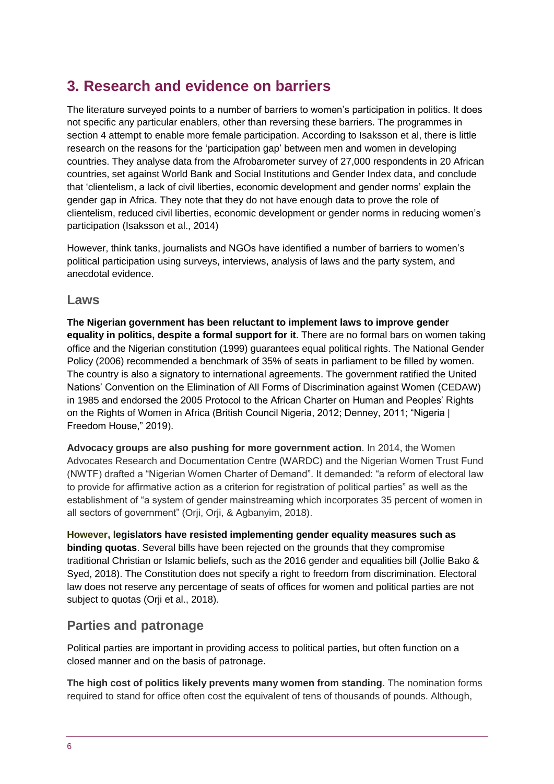# **3. Research and evidence on barriers**

The literature surveyed points to a number of barriers to women's participation in politics. It does not specific any particular enablers, other than reversing these barriers. The programmes in section 4 attempt to enable more female participation. According to Isaksson et al, there is little research on the reasons for the 'participation gap' between men and women in developing countries. They analyse data from the Afrobarometer survey of 27,000 respondents in 20 African countries, set against World Bank and Social Institutions and Gender Index data, and conclude that 'clientelism, a lack of civil liberties, economic development and gender norms' explain the gender gap in Africa. They note that they do not have enough data to prove the role of clientelism, reduced civil liberties, economic development or gender norms in reducing women's participation (Isaksson et al., 2014)

However, think tanks, journalists and NGOs have identified a number of barriers to women's political participation using surveys, interviews, analysis of laws and the party system, and anecdotal evidence.

### **Laws**

**The Nigerian government has been reluctant to implement laws to improve gender equality in politics, despite a formal support for it**. There are no formal bars on women taking office and the Nigerian constitution (1999) guarantees equal political rights. The National Gender Policy (2006) recommended a benchmark of 35% of seats in parliament to be filled by women. The country is also a signatory to international agreements. The government ratified the United Nations' Convention on the Elimination of All Forms of Discrimination against Women (CEDAW) in 1985 and endorsed the 2005 Protocol to the African Charter on Human and Peoples' Rights on the Rights of Women in Africa (British Council Nigeria, 2012; Denney, 2011; "Nigeria | Freedom House," 2019).

**Advocacy groups are also pushing for more government action**. In 2014, the Women Advocates Research and Documentation Centre (WARDC) and the Nigerian Women Trust Fund (NWTF) drafted a "Nigerian Women Charter of Demand". It demanded: "a reform of electoral law to provide for affirmative action as a criterion for registration of political parties" as well as the establishment of "a system of gender mainstreaming which incorporates 35 percent of women in all sectors of government" (Orji, Orji, & Agbanyim, 2018).

**However, legislators have resisted implementing gender equality measures such as binding quotas**. Several bills have been rejected on the grounds that they compromise traditional Christian or Islamic beliefs, such as the 2016 gender and equalities bill (Jollie Bako & Syed, 2018). The Constitution does not specify a right to freedom from discrimination. Electoral law does not reserve any percentage of seats of offices for women and political parties are not subject to quotas (Orji et al., 2018).

### **Parties and patronage**

Political parties are important in providing access to political parties, but often function on a closed manner and on the basis of patronage.

**The high cost of politics likely prevents many women from standing**. The nomination forms required to stand for office often cost the equivalent of tens of thousands of pounds. Although,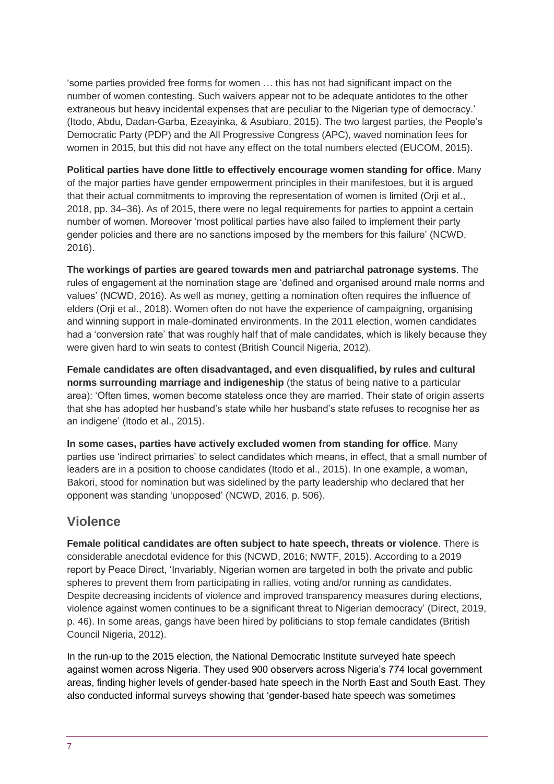'some parties provided free forms for women … this has not had significant impact on the number of women contesting. Such waivers appear not to be adequate antidotes to the other extraneous but heavy incidental expenses that are peculiar to the Nigerian type of democracy.' (Itodo, Abdu, Dadan-Garba, Ezeayinka, & Asubiaro, 2015). The two largest parties, the People's Democratic Party (PDP) and the All Progressive Congress (APC), waved nomination fees for women in 2015, but this did not have any effect on the total numbers elected (EUCOM, 2015).

**Political parties have done little to effectively encourage women standing for office**. Many of the major parties have gender empowerment principles in their manifestoes, but it is argued that their actual commitments to improving the representation of women is limited (Orji et al., 2018, pp. 34–36). As of 2015, there were no legal requirements for parties to appoint a certain number of women. Moreover 'most political parties have also failed to implement their party gender policies and there are no sanctions imposed by the members for this failure' (NCWD, 2016).

**The workings of parties are geared towards men and patriarchal patronage systems**. The rules of engagement at the nomination stage are 'defined and organised around male norms and values' (NCWD, 2016). As well as money, getting a nomination often requires the influence of elders (Orji et al., 2018). Women often do not have the experience of campaigning, organising and winning support in male-dominated environments. In the 2011 election, women candidates had a 'conversion rate' that was roughly half that of male candidates, which is likely because they were given hard to win seats to contest (British Council Nigeria, 2012).

**Female candidates are often disadvantaged, and even disqualified, by rules and cultural norms surrounding marriage and indigeneship** (the status of being native to a particular area): 'Often times, women become stateless once they are married. Their state of origin asserts that she has adopted her husband's state while her husband's state refuses to recognise her as an indigene' (Itodo et al., 2015).

**In some cases, parties have actively excluded women from standing for office**. Many parties use 'indirect primaries' to select candidates which means, in effect, that a small number of leaders are in a position to choose candidates (Itodo et al., 2015). In one example, a woman, Bakori, stood for nomination but was sidelined by the party leadership who declared that her opponent was standing 'unopposed' (NCWD, 2016, p. 506).

### **Violence**

**Female political candidates are often subject to hate speech, threats or violence**. There is considerable anecdotal evidence for this (NCWD, 2016; NWTF, 2015). According to a 2019 report by Peace Direct, 'Invariably, Nigerian women are targeted in both the private and public spheres to prevent them from participating in rallies, voting and/or running as candidates. Despite decreasing incidents of violence and improved transparency measures during elections, violence against women continues to be a significant threat to Nigerian democracy' (Direct, 2019, p. 46). In some areas, gangs have been hired by politicians to stop female candidates (British Council Nigeria, 2012).

In the run-up to the 2015 election, the National Democratic Institute surveyed hate speech against women across Nigeria. They used 900 observers across Nigeria's 774 local government areas, finding higher levels of gender-based hate speech in the North East and South East. They also conducted informal surveys showing that 'gender-based hate speech was sometimes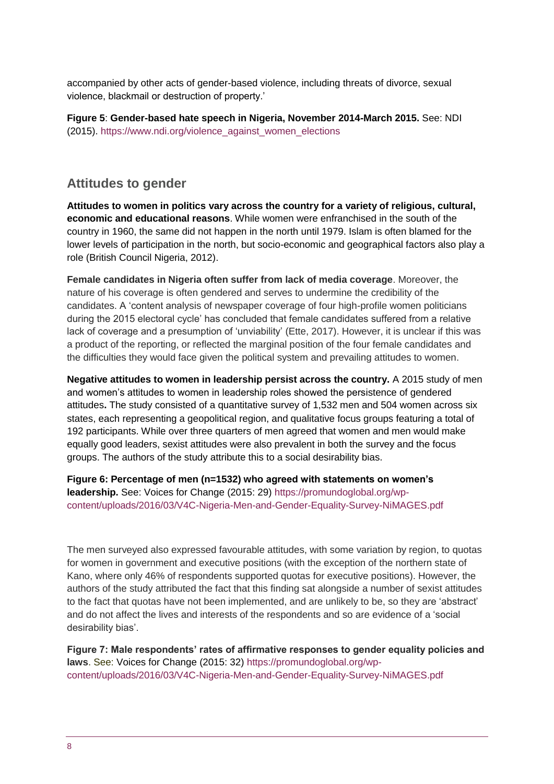accompanied by other acts of gender-based violence, including threats of divorce, sexual violence, blackmail or destruction of property.'

**Figure 5**: **Gender-based hate speech in Nigeria, November 2014-March 2015.** See: NDI (2015). [https://www.ndi.org/violence\\_against\\_women\\_elections](https://www.ndi.org/violence_against_women_elections)

### **Attitudes to gender**

**Attitudes to women in politics vary across the country for a variety of religious, cultural, economic and educational reasons**. While women were enfranchised in the south of the country in 1960, the same did not happen in the north until 1979. Islam is often blamed for the lower levels of participation in the north, but socio-economic and geographical factors also play a role (British Council Nigeria, 2012).

**Female candidates in Nigeria often suffer from lack of media coverage**. Moreover, the nature of his coverage is often gendered and serves to undermine the credibility of the candidates. A 'content analysis of newspaper coverage of four high-profile women politicians during the 2015 electoral cycle' has concluded that female candidates suffered from a relative lack of coverage and a presumption of 'unviability' (Ette, 2017). However, it is unclear if this was a product of the reporting, or reflected the marginal position of the four female candidates and the difficulties they would face given the political system and prevailing attitudes to women.

**Negative attitudes to women in leadership persist across the country.** A 2015 study of men and women's attitudes to women in leadership roles showed the persistence of gendered attitudes**.** The study consisted of a quantitative survey of 1,532 men and 504 women across six states, each representing a geopolitical region, and qualitative focus groups featuring a total of 192 participants. While over three quarters of men agreed that women and men would make equally good leaders, sexist attitudes were also prevalent in both the survey and the focus groups. The authors of the study attribute this to a social desirability bias.

**Figure 6: Percentage of men (n=1532) who agreed with statements on women's leadership.** See: Voices for Change (2015: 29) [https://promundoglobal.org/wp](https://promundoglobal.org/wp-content/uploads/2016/03/V4C-Nigeria-Men-and-Gender-Equality-Survey-NiMAGES.pdf)[content/uploads/2016/03/V4C-Nigeria-Men-and-Gender-Equality-Survey-NiMAGES.pdf](https://promundoglobal.org/wp-content/uploads/2016/03/V4C-Nigeria-Men-and-Gender-Equality-Survey-NiMAGES.pdf)

The men surveyed also expressed favourable attitudes, with some variation by region, to quotas for women in government and executive positions (with the exception of the northern state of Kano, where only 46% of respondents supported quotas for executive positions). However, the authors of the study attributed the fact that this finding sat alongside a number of sexist attitudes to the fact that quotas have not been implemented, and are unlikely to be, so they are 'abstract' and do not affect the lives and interests of the respondents and so are evidence of a 'social desirability bias'.

**Figure 7: Male respondents' rates of affirmative responses to gender equality policies and laws**. See: Voices for Change (2015: 32) [https://promundoglobal.org/wp](https://promundoglobal.org/wp-content/uploads/2016/03/V4C-Nigeria-Men-and-Gender-Equality-Survey-NiMAGES.pdf)[content/uploads/2016/03/V4C-Nigeria-Men-and-Gender-Equality-Survey-NiMAGES.pdf](https://promundoglobal.org/wp-content/uploads/2016/03/V4C-Nigeria-Men-and-Gender-Equality-Survey-NiMAGES.pdf)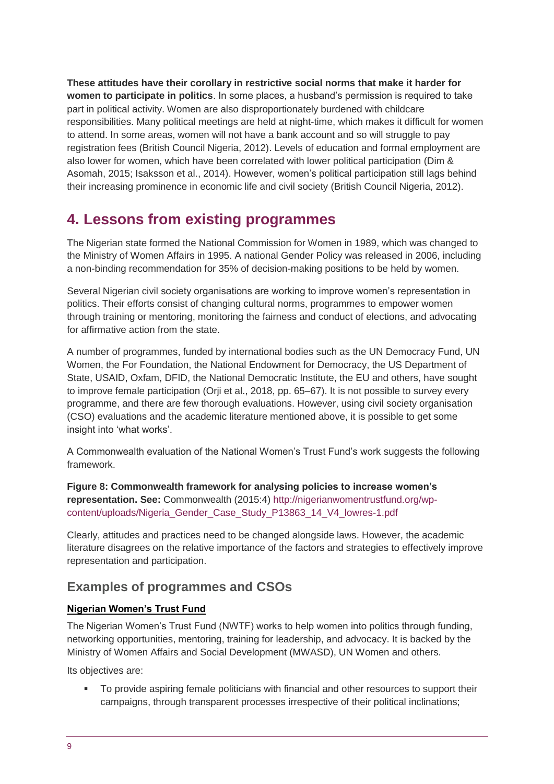**These attitudes have their corollary in restrictive social norms that make it harder for women to participate in politics**. In some places, a husband's permission is required to take part in political activity. Women are also disproportionately burdened with childcare responsibilities. Many political meetings are held at night-time, which makes it difficult for women to attend. In some areas, women will not have a bank account and so will struggle to pay registration fees (British Council Nigeria, 2012). Levels of education and formal employment are also lower for women, which have been correlated with lower political participation (Dim & Asomah, 2015; Isaksson et al., 2014). However, women's political participation still lags behind their increasing prominence in economic life and civil society (British Council Nigeria, 2012).

# **4. Lessons from existing programmes**

The Nigerian state formed the National Commission for Women in 1989, which was changed to the Ministry of Women Affairs in 1995. A national Gender Policy was released in 2006, including a non-binding recommendation for 35% of decision-making positions to be held by women.

Several Nigerian civil society organisations are working to improve women's representation in politics. Their efforts consist of changing cultural norms, programmes to empower women through training or mentoring, monitoring the fairness and conduct of elections, and advocating for affirmative action from the state.

A number of programmes, funded by international bodies such as the UN Democracy Fund, UN Women, the For Foundation, the National Endowment for Democracy, the US Department of State, USAID, Oxfam, DFID, the National Democratic Institute, the EU and others, have sought to improve female participation (Orji et al., 2018, pp. 65–67). It is not possible to survey every programme, and there are few thorough evaluations. However, using civil society organisation (CSO) evaluations and the academic literature mentioned above, it is possible to get some insight into 'what works'.

A Commonwealth evaluation of the National Women's Trust Fund's work suggests the following framework.

**Figure 8: Commonwealth framework for analysing policies to increase women's representation. See:** Commonwealth (2015:4) [http://nigerianwomentrustfund.org/wp](http://nigerianwomentrustfund.org/wp-content/uploads/Nigeria_Gender_Case_Study_P13863_14_V4_lowres-1.pdf)[content/uploads/Nigeria\\_Gender\\_Case\\_Study\\_P13863\\_14\\_V4\\_lowres-1.pdf](http://nigerianwomentrustfund.org/wp-content/uploads/Nigeria_Gender_Case_Study_P13863_14_V4_lowres-1.pdf)

Clearly, attitudes and practices need to be changed alongside laws. However, the academic literature disagrees on the relative importance of the factors and strategies to effectively improve representation and participation.

### **Examples of programmes and CSOs**

#### **Nigerian Women's Trust Fund**

The Nigerian Women's Trust Fund (NWTF) works to help women into politics through funding, networking opportunities, mentoring, training for leadership, and advocacy. It is backed by the Ministry of Women Affairs and Social Development (MWASD), UN Women and others.

Its objectives are:

 To provide aspiring female politicians with financial and other resources to support their campaigns, through transparent processes irrespective of their political inclinations;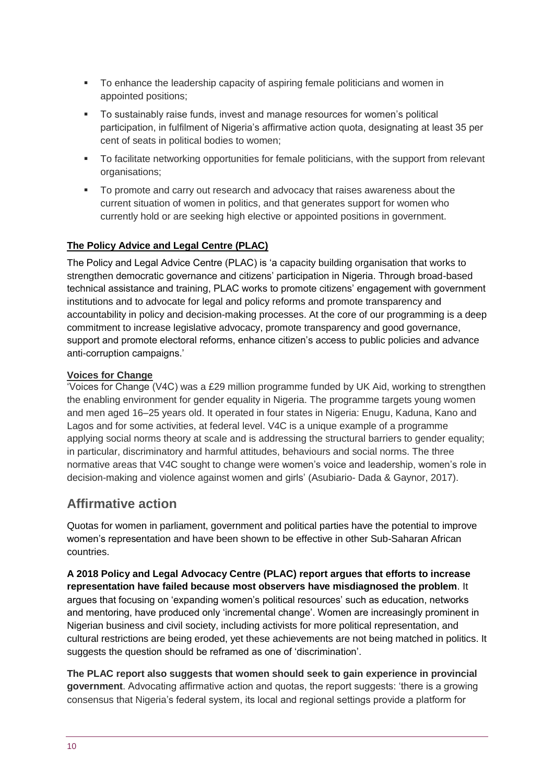- To enhance the leadership capacity of aspiring female politicians and women in appointed positions;
- To sustainably raise funds, invest and manage resources for women's political participation, in fulfilment of Nigeria's affirmative action quota, designating at least 35 per cent of seats in political bodies to women;
- **To facilitate networking opportunities for female politicians, with the support from relevant** organisations;
- To promote and carry out research and advocacy that raises awareness about the current situation of women in politics, and that generates support for women who currently hold or are seeking high elective or appointed positions in government.

#### **The Policy Advice and Legal Centre (PLAC)**

The Policy and Legal Advice Centre (PLAC) is 'a capacity building organisation that works to strengthen democratic governance and citizens' participation in Nigeria. Through broad-based technical assistance and training, PLAC works to promote citizens' engagement with government institutions and to advocate for legal and policy reforms and promote transparency and accountability in policy and decision-making processes. At the core of our programming is a deep commitment to increase legislative advocacy, promote transparency and good governance, support and promote electoral reforms, enhance citizen's access to public policies and advance anti-corruption campaigns.'

#### **Voices for Change**

'Voices for Change (V4C) was a £29 million programme funded by UK Aid, working to strengthen the enabling environment for gender equality in Nigeria. The programme targets young women and men aged 16–25 years old. It operated in four states in Nigeria: Enugu, Kaduna, Kano and Lagos and for some activities, at federal level. V4C is a unique example of a programme applying social norms theory at scale and is addressing the structural barriers to gender equality; in particular, discriminatory and harmful attitudes, behaviours and social norms. The three normative areas that V4C sought to change were women's voice and leadership, women's role in decision-making and violence against women and girls' (Asubiario- Dada & Gaynor, 2017).

### **Affirmative action**

Quotas for women in parliament, government and political parties have the potential to improve women's representation and have been shown to be effective in other Sub-Saharan African countries.

**A 2018 Policy and Legal Advocacy Centre (PLAC) report argues that efforts to increase representation have failed because most observers have misdiagnosed the problem**. It argues that focusing on 'expanding women's political resources' such as education, networks and mentoring, have produced only 'incremental change'. Women are increasingly prominent in Nigerian business and civil society, including activists for more political representation, and cultural restrictions are being eroded, yet these achievements are not being matched in politics. It suggests the question should be reframed as one of 'discrimination'.

**The PLAC report also suggests that women should seek to gain experience in provincial government**. Advocating affirmative action and quotas, the report suggests: 'there is a growing consensus that Nigeria's federal system, its local and regional settings provide a platform for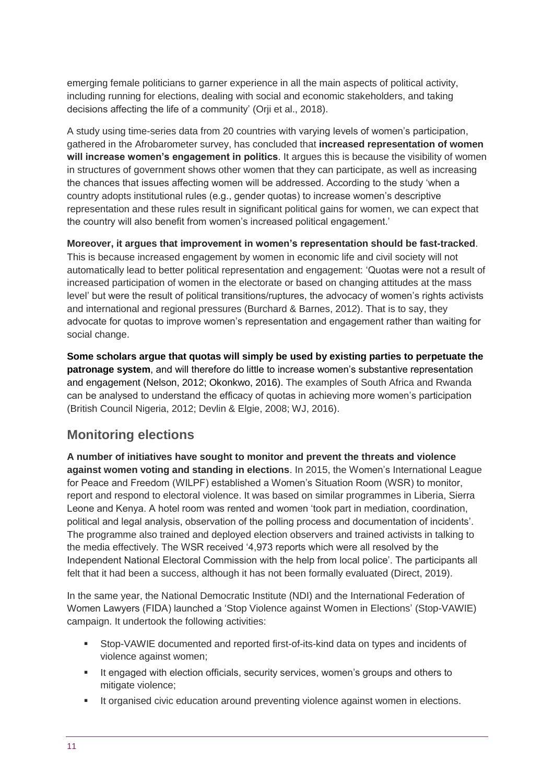emerging female politicians to garner experience in all the main aspects of political activity, including running for elections, dealing with social and economic stakeholders, and taking decisions affecting the life of a community' (Orji et al., 2018).

A study using time-series data from 20 countries with varying levels of women's participation, gathered in the Afrobarometer survey, has concluded that **increased representation of women will increase women's engagement in politics**. It argues this is because the visibility of women in structures of government shows other women that they can participate, as well as increasing the chances that issues affecting women will be addressed. According to the study 'when a country adopts institutional rules (e.g., gender quotas) to increase women's descriptive representation and these rules result in significant political gains for women, we can expect that the country will also benefit from women's increased political engagement.'

**Moreover, it argues that improvement in women's representation should be fast-tracked**. This is because increased engagement by women in economic life and civil society will not automatically lead to better political representation and engagement: 'Quotas were not a result of increased participation of women in the electorate or based on changing attitudes at the mass level' but were the result of political transitions/ruptures, the advocacy of women's rights activists and international and regional pressures (Burchard & Barnes, 2012). That is to say, they advocate for quotas to improve women's representation and engagement rather than waiting for social change.

**Some scholars argue that quotas will simply be used by existing parties to perpetuate the patronage system**, and will therefore do little to increase women's substantive representation and engagement (Nelson, 2012; Okonkwo, 2016). The examples of South Africa and Rwanda can be analysed to understand the efficacy of quotas in achieving more women's participation (British Council Nigeria, 2012; Devlin & Elgie, 2008; WJ, 2016).

### **Monitoring elections**

**A number of initiatives have sought to monitor and prevent the threats and violence against women voting and standing in elections**. In 2015, the Women's International League for Peace and Freedom (WILPF) established a Women's Situation Room (WSR) to monitor, report and respond to electoral violence. It was based on similar programmes in Liberia, Sierra Leone and Kenya. A hotel room was rented and women 'took part in mediation, coordination, political and legal analysis, observation of the polling process and documentation of incidents'. The programme also trained and deployed election observers and trained activists in talking to the media effectively. The WSR received '4,973 reports which were all resolved by the Independent National Electoral Commission with the help from local police'. The participants all felt that it had been a success, although it has not been formally evaluated (Direct, 2019).

In the same year, the National Democratic Institute (NDI) and the International Federation of Women Lawyers (FIDA) launched a 'Stop Violence against Women in Elections' (Stop-VAWIE) campaign. It undertook the following activities:

- Stop-VAWIE documented and reported first-of-its-kind data on types and incidents of violence against women;
- **If engaged with election officials, security services, women's groups and others to** mitigate violence:
- It organised civic education around preventing violence against women in elections.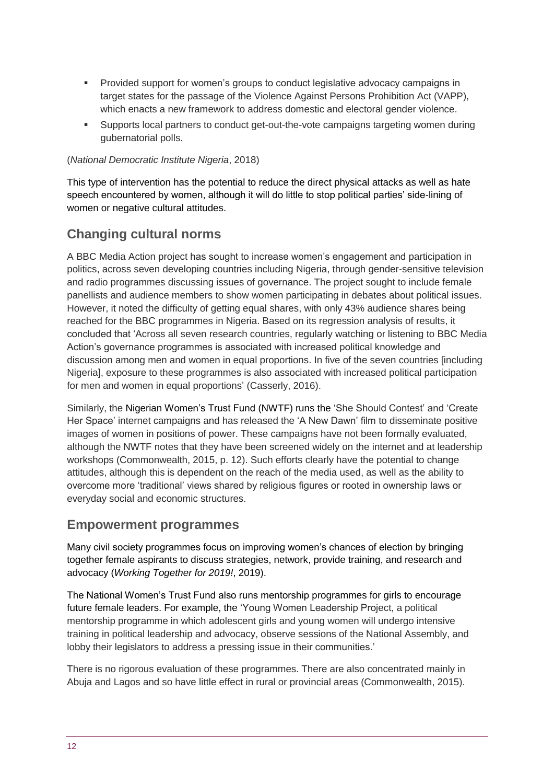- Provided support for women's groups to conduct legislative advocacy campaigns in target states for the passage of the Violence Against Persons Prohibition Act (VAPP), which enacts a new framework to address domestic and electoral gender violence.
- Supports local partners to conduct get-out-the-vote campaigns targeting women during gubernatorial polls.

#### (*National Democratic Institute Nigeria*, 2018)

This type of intervention has the potential to reduce the direct physical attacks as well as hate speech encountered by women, although it will do little to stop political parties' side-lining of women or negative cultural attitudes.

### **Changing cultural norms**

A BBC Media Action project has sought to increase women's engagement and participation in politics, across seven developing countries including Nigeria, through gender-sensitive television and radio programmes discussing issues of governance. The project sought to include female panellists and audience members to show women participating in debates about political issues. However, it noted the difficulty of getting equal shares, with only 43% audience shares being reached for the BBC programmes in Nigeria. Based on its regression analysis of results, it concluded that 'Across all seven research countries, regularly watching or listening to BBC Media Action's governance programmes is associated with increased political knowledge and discussion among men and women in equal proportions. In five of the seven countries [including Nigeria], exposure to these programmes is also associated with increased political participation for men and women in equal proportions' (Casserly, 2016).

Similarly, the Nigerian Women's Trust Fund (NWTF) runs the 'She Should Contest' and 'Create Her Space' internet campaigns and has released the 'A New Dawn' film to disseminate positive images of women in positions of power. These campaigns have not been formally evaluated, although the NWTF notes that they have been screened widely on the internet and at leadership workshops (Commonwealth, 2015, p. 12). Such efforts clearly have the potential to change attitudes, although this is dependent on the reach of the media used, as well as the ability to overcome more 'traditional' views shared by religious figures or rooted in ownership laws or everyday social and economic structures.

### **Empowerment programmes**

Many civil society programmes focus on improving women's chances of election by bringing together female aspirants to discuss strategies, network, provide training, and research and advocacy (*Working Together for 2019!*, 2019).

The National Women's Trust Fund also runs mentorship programmes for girls to encourage future female leaders. For example, the 'Young Women Leadership Project, a political mentorship programme in which adolescent girls and young women will undergo intensive training in political leadership and advocacy, observe sessions of the National Assembly, and lobby their legislators to address a pressing issue in their communities.'

There is no rigorous evaluation of these programmes. There are also concentrated mainly in Abuja and Lagos and so have little effect in rural or provincial areas (Commonwealth, 2015).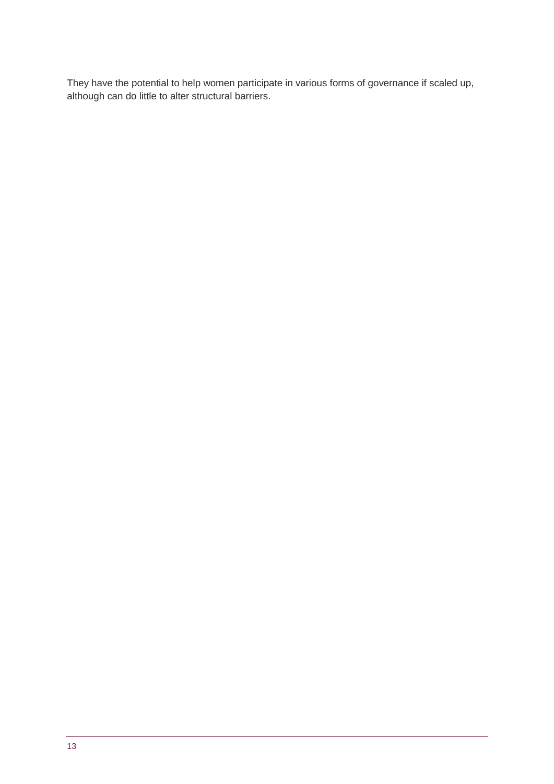They have the potential to help women participate in various forms of governance if scaled up, although can do little to alter structural barriers.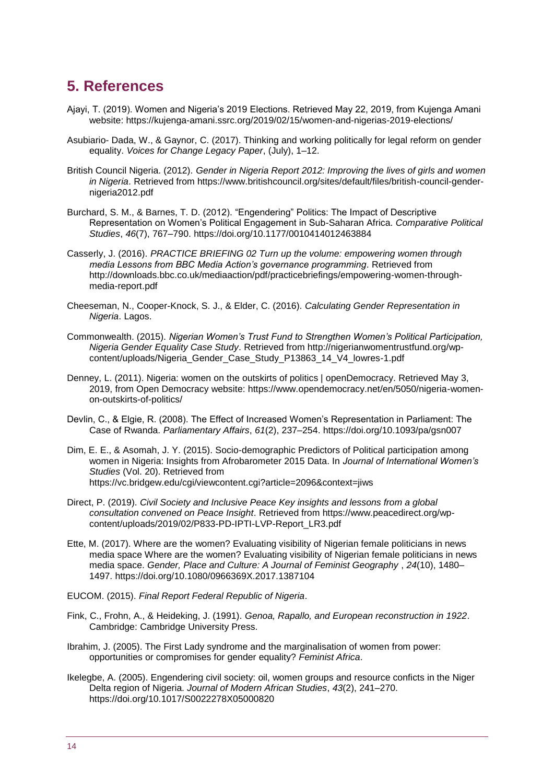# <span id="page-13-0"></span>**5. References**

- Ajayi, T. (2019). Women and Nigeria's 2019 Elections. Retrieved May 22, 2019, from Kujenga Amani website: https://kujenga-amani.ssrc.org/2019/02/15/women-and-nigerias-2019-elections/
- Asubiario- Dada, W., & Gaynor, C. (2017). Thinking and working politically for legal reform on gender equality. *Voices for Change Legacy Paper*, (July), 1–12.
- British Council Nigeria. (2012). *Gender in Nigeria Report 2012: Improving the lives of girls and women in Nigeria*. Retrieved from https://www.britishcouncil.org/sites/default/files/british-council-gendernigeria2012.pdf
- Burchard, S. M., & Barnes, T. D. (2012). "Engendering" Politics: The Impact of Descriptive Representation on Women's Political Engagement in Sub-Saharan Africa. *Comparative Political Studies*, *46*(7), 767–790. https://doi.org/10.1177/0010414012463884
- Casserly, J. (2016). *PRACTICE BRIEFING 02 Turn up the volume: empowering women through media Lessons from BBC Media Action's governance programming*. Retrieved from http://downloads.bbc.co.uk/mediaaction/pdf/practicebriefings/empowering-women-throughmedia-report.pdf
- Cheeseman, N., Cooper-Knock, S. J., & Elder, C. (2016). *Calculating Gender Representation in Nigeria*. Lagos.
- Commonwealth. (2015). *Nigerian Women's Trust Fund to Strengthen Women's Political Participation, Nigeria Gender Equality Case Study*. Retrieved from http://nigerianwomentrustfund.org/wpcontent/uploads/Nigeria\_Gender\_Case\_Study\_P13863\_14\_V4\_lowres-1.pdf
- Denney, L. (2011). Nigeria: women on the outskirts of politics | openDemocracy. Retrieved May 3, 2019, from Open Democracy website: https://www.opendemocracy.net/en/5050/nigeria-womenon-outskirts-of-politics/
- Devlin, C., & Elgie, R. (2008). The Effect of Increased Women's Representation in Parliament: The Case of Rwanda. *Parliamentary Affairs*, *61*(2), 237–254. https://doi.org/10.1093/pa/gsn007
- Dim, E. E., & Asomah, J. Y. (2015). Socio-demographic Predictors of Political participation among women in Nigeria: Insights from Afrobarometer 2015 Data. In *Journal of International Women's Studies* (Vol. 20). Retrieved from https://vc.bridgew.edu/cgi/viewcontent.cgi?article=2096&context=jiws
- Direct, P. (2019). *Civil Society and Inclusive Peace Key insights and lessons from a global consultation convened on Peace Insight*. Retrieved from https://www.peacedirect.org/wpcontent/uploads/2019/02/P833-PD-IPTI-LVP-Report\_LR3.pdf
- Ette, M. (2017). Where are the women? Evaluating visibility of Nigerian female politicians in news media space Where are the women? Evaluating visibility of Nigerian female politicians in news media space. *Gender, Place and Culture: A Journal of Feminist Geography* , *24*(10), 1480– 1497. https://doi.org/10.1080/0966369X.2017.1387104
- EUCOM. (2015). *Final Report Federal Republic of Nigeria*.
- Fink, C., Frohn, A., & Heideking, J. (1991). *Genoa, Rapallo, and European reconstruction in 1922*. Cambridge: Cambridge University Press.
- Ibrahim, J. (2005). The First Lady syndrome and the marginalisation of women from power: opportunities or compromises for gender equality? *Feminist Africa*.
- Ikelegbe, A. (2005). Engendering civil society: oil, women groups and resource conficts in the Niger Delta region of Nigeria. *Journal of Modern African Studies*, *43*(2), 241–270. https://doi.org/10.1017/S0022278X05000820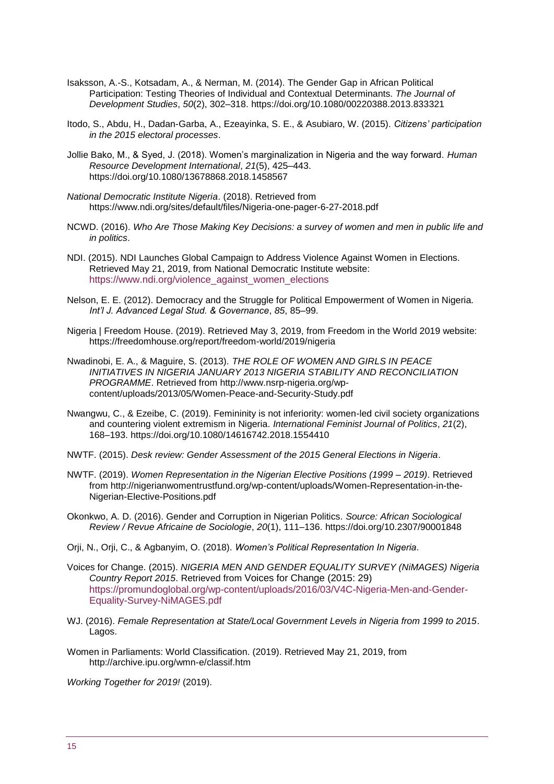- Isaksson, A.-S., Kotsadam, A., & Nerman, M. (2014). The Gender Gap in African Political Participation: Testing Theories of Individual and Contextual Determinants. *The Journal of Development Studies*, *50*(2), 302–318. https://doi.org/10.1080/00220388.2013.833321
- Itodo, S., Abdu, H., Dadan-Garba, A., Ezeayinka, S. E., & Asubiaro, W. (2015). *Citizens' participation in the 2015 electoral processes*.
- Jollie Bako, M., & Syed, J. (2018). Women's marginalization in Nigeria and the way forward. *Human Resource Development International*, *21*(5), 425–443. https://doi.org/10.1080/13678868.2018.1458567
- *National Democratic Institute Nigeria*. (2018). Retrieved from https://www.ndi.org/sites/default/files/Nigeria-one-pager-6-27-2018.pdf
- NCWD. (2016). *Who Are Those Making Key Decisions: a survey of women and men in public life and in politics*.
- NDI. (2015). NDI Launches Global Campaign to Address Violence Against Women in Elections. Retrieved May 21, 2019, from National Democratic Institute website: [https://www.ndi.org/violence\\_against\\_women\\_elections](https://www.ndi.org/violence_against_women_elections)
- Nelson, E. E. (2012). Democracy and the Struggle for Political Empowerment of Women in Nigeria. *Int'l J. Advanced Legal Stud. & Governance*, *85*, 85–99.
- Nigeria | Freedom House. (2019). Retrieved May 3, 2019, from Freedom in the World 2019 website: https://freedomhouse.org/report/freedom-world/2019/nigeria
- Nwadinobi, E. A., & Maguire, S. (2013). *THE ROLE OF WOMEN AND GIRLS IN PEACE INITIATIVES IN NIGERIA JANUARY 2013 NIGERIA STABILITY AND RECONCILIATION PROGRAMME*. Retrieved from http://www.nsrp-nigeria.org/wpcontent/uploads/2013/05/Women-Peace-and-Security-Study.pdf
- Nwangwu, C., & Ezeibe, C. (2019). Femininity is not inferiority: women-led civil society organizations and countering violent extremism in Nigeria. *International Feminist Journal of Politics*, *21*(2), 168–193. https://doi.org/10.1080/14616742.2018.1554410
- NWTF. (2015). *Desk review: Gender Assessment of the 2015 General Elections in Nigeria*.
- NWTF. (2019). *Women Representation in the Nigerian Elective Positions (1999 – 2019)*. Retrieved from http://nigerianwomentrustfund.org/wp-content/uploads/Women-Representation-in-the-Nigerian-Elective-Positions.pdf
- Okonkwo, A. D. (2016). Gender and Corruption in Nigerian Politics. *Source: African Sociological Review / Revue Africaine de Sociologie*, *20*(1), 111–136. https://doi.org/10.2307/90001848
- Orji, N., Orji, C., & Agbanyim, O. (2018). *Women's Political Representation In Nigeria*.
- Voices for Change. (2015). *NIGERIA MEN AND GENDER EQUALITY SURVEY (NiMAGES) Nigeria Country Report 2015*. Retrieved from Voices for Change (2015: 29) [https://promundoglobal.org/wp-content/uploads/2016/03/V4C-Nigeria-Men-and-Gender-](https://promundoglobal.org/wp-content/uploads/2016/03/V4C-Nigeria-Men-and-Gender-Equality-Survey-NiMAGES.pdf)[Equality-Survey-NiMAGES.pdf](https://promundoglobal.org/wp-content/uploads/2016/03/V4C-Nigeria-Men-and-Gender-Equality-Survey-NiMAGES.pdf)
- WJ. (2016). *Female Representation at State/Local Government Levels in Nigeria from 1999 to 2015*. Lagos.
- Women in Parliaments: World Classification. (2019). Retrieved May 21, 2019, from http://archive.ipu.org/wmn-e/classif.htm

*Working Together for 2019!* (2019).